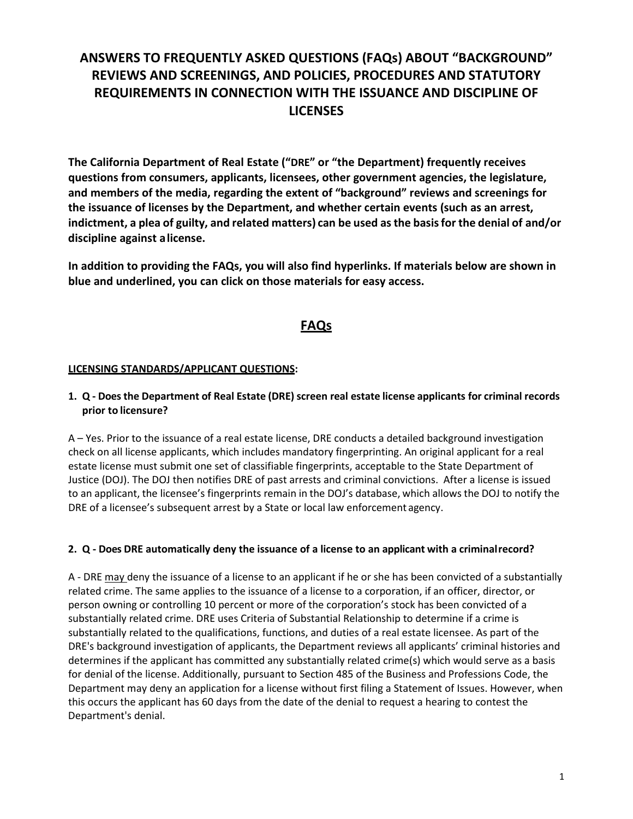# **ANSWERS TO FREQUENTLY ASKED QUESTIONS (FAQs) ABOUT "BACKGROUND" REVIEWS AND SCREENINGS, AND POLICIES, PROCEDURES AND STATUTORY REQUIREMENTS IN CONNECTION WITH THE ISSUANCE AND DISCIPLINE OF LICENSES**

**The California Department of Real Estate ("DRE" or "the Department) frequently receives questions from consumers, applicants, licensees, other government agencies, the legislature, and members of the media, regarding the extent of "background" reviews and screenings for the issuance of licenses by the Department, and whether certain events (such as an arrest, indictment, a plea of guilty, and related matters) can be used asthe basisfor the denial of and/or discipline against alicense.**

**In addition to providing the FAQs, you will also find hyperlinks. If materials below are shown in blue and underlined, you can click on those materials for easy access.**

# **FAQs**

#### **LICENSING STANDARDS/APPLICANT QUESTIONS:**

#### **1. Q - Doesthe Department of Real Estate (DRE) screen real estate license applicants for criminal records prior to licensure?**

A – Yes. Prior to the issuance of a real estate license, DRE conducts a detailed background investigation check on all license applicants, which includes mandatory fingerprinting. An original applicant for a real estate license must submit one set of classifiable fingerprints, acceptable to the State Department of Justice (DOJ). The DOJ then notifies DRE of past arrests and criminal convictions. After a license is issued to an applicant, the licensee's fingerprints remain in the DOJ's database, which allows the DOJ to notify the DRE of a licensee's subsequent arrest by a State or local law enforcement agency.

#### **2. Q - Does DRE automatically deny the issuance of a license to an applicant with a criminalrecord?**

A - DRE may deny the issuance of a license to an applicant if he or she has been convicted of a substantially related crime. The same applies to the issuance of a license to a corporation, if an officer, director, or person owning or controlling 10 percent or more of the corporation's stock has been convicted of a substantially related crime. DRE uses Criteria of Substantial Relationship to determine if a crime is substantially related to the qualifications, functions, and duties of a real estate licensee. As part of the DRE's background investigation of applicants, the Department reviews all applicants' criminal histories and determines if the applicant has committed any substantially related crime(s) which would serve as a basis for denial of the license. Additionally, pursuant to Section 485 of the Business and Professions Code, the Department may deny an application for a license without first filing a Statement of Issues. However, when this occurs the applicant has 60 days from the date of the denial to request a hearing to contest the Department's denial.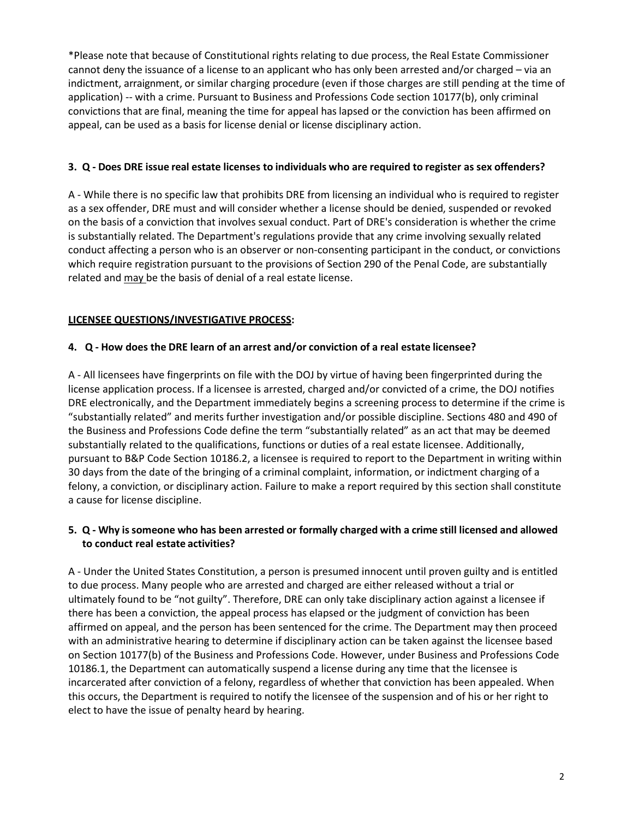\*Please note that because of Constitutional rights relating to due process, the Real Estate Commissioner cannot deny the issuance of a license to an applicant who has only been arrested and/or charged – via an indictment, arraignment, or similar charging procedure (even if those charges are still pending at the time of application) -- with a crime. Pursuant to Business and Professions Code section 10177(b), only criminal convictions that are final, meaning the time for appeal has lapsed or the conviction has been affirmed on appeal, can be used as a basis for license denial or license disciplinary action.

#### **3. Q - Does DRE issue real estate licenses to individuals who are required to register as sex offenders?**

A - While there is no specific law that prohibits DRE from licensing an individual who is required to register as a sex offender, DRE must and will consider whether a license should be denied, suspended or revoked on the basis of a conviction that involves sexual conduct. Part of DRE's consideration is whether the crime is substantially related. The Department's regulations provide that any crime involving sexually related conduct affecting a person who is an observer or non-consenting participant in the conduct, or convictions which require registration pursuant to the provisions of Section 290 of the Penal Code, are substantially related and may be the basis of denial of a real estate license.

# **LICENSEE QUESTIONS/INVESTIGATIVE PROCESS:**

# **4. Q - How does the DRE learn of an arrest and/or conviction of a real estate licensee?**

A - All licensees have fingerprints on file with the DOJ by virtue of having been fingerprinted during the license application process. If a licensee is arrested, charged and/or convicted of a crime, the DOJ notifies DRE electronically, and the Department immediately begins a screening process to determine if the crime is "substantially related" and merits further investigation and/or possible discipline. Sections 480 and 490 of the Business and Professions Code define the term "substantially related" as an act that may be deemed substantially related to the qualifications, functions or duties of a real estate licensee. Additionally, pursuant to B&P Code Section 10186.2, a licensee is required to report to the Department in writing within 30 days from the date of the bringing of a criminal complaint, information, or indictment charging of a felony, a conviction, or disciplinary action. Failure to make a report required by this section shall constitute a cause for license discipline.

# 5. Q - Why is someone who has been arrested or formally charged with a crime still licensed and allowed **to conduct real estate activities?**

A - Under the United States Constitution, a person is presumed innocent until proven guilty and is entitled to due process. Many people who are arrested and charged are either released without a trial or ultimately found to be "not guilty". Therefore, DRE can only take disciplinary action against a licensee if there has been a conviction, the appeal process has elapsed or the judgment of conviction has been affirmed on appeal, and the person has been sentenced for the crime. The Department may then proceed with an administrative hearing to determine if disciplinary action can be taken against the licensee based on Section 10177(b) of the Business and Professions Code. However, under Business and Professions Code 10186.1, the Department can automatically suspend a license during any time that the licensee is incarcerated after conviction of a felony, regardless of whether that conviction has been appealed. When this occurs, the Department is required to notify the licensee of the suspension and of his or her right to elect to have the issue of penalty heard by hearing.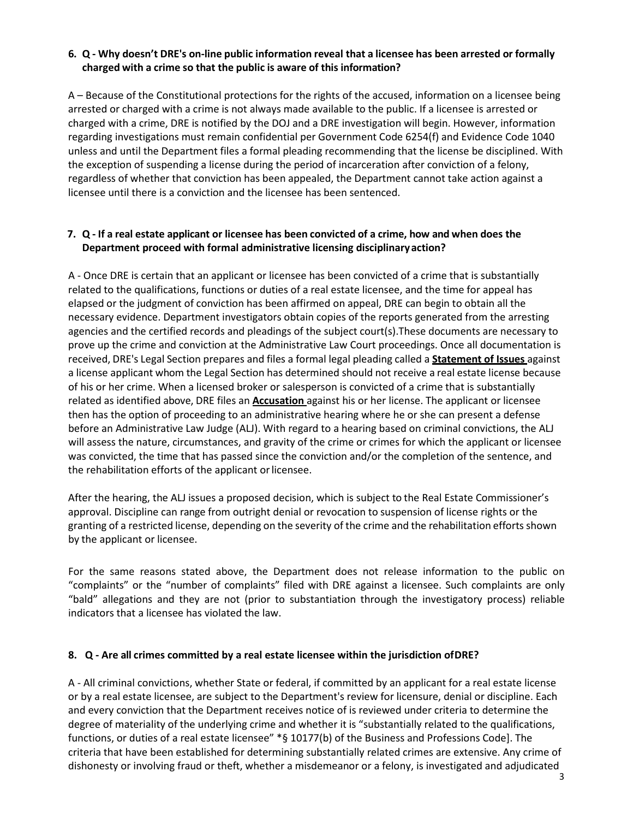#### **6. Q - Why doesn't DRE's on-line public information reveal that a licensee has been arrested or formally charged with a crime so that the public is aware of this information?**

A – Because of the Constitutional protections for the rights of the accused, information on a licensee being arrested or charged with a crime is not always made available to the public. If a licensee is arrested or charged with a crime, DRE is notified by the DOJ and a DRE investigation will begin. However, information regarding investigations must remain confidential per Government Code 6254(f) and Evidence Code 1040 unless and until the Department files a formal pleading recommending that the license be disciplined. With the exception of suspending a license during the period of incarceration after conviction of a felony, regardless of whether that conviction has been appealed, the Department cannot take action against a licensee until there is a conviction and the licensee has been sentenced.

#### **7. Q - If a real estate applicant or licensee has been convicted of a crime, how and when does the Department proceed with formal administrative licensing disciplinaryaction?**

A - Once DRE is certain that an applicant or licensee has been convicted of a crime that is substantially related to the qualifications, functions or duties of a real estate licensee, and the time for appeal has elapsed or the judgment of conviction has been affirmed on appeal, DRE can begin to obtain all the necessary evidence. Department investigators obtain copies of the reports generated from the arresting agencies and the certified records and pleadings of the subject court(s).These documents are necessary to prove up the crime and conviction at the Administrative Law Court proceedings. Once all documentation is received, DRE's Legal Section prepares and files a formal legal pleading called a **Statement of Issues** against a license applicant whom the Legal Section has determined should not receive a real estate license because of his or her crime. When a licensed broker or salesperson is convicted of a crime that is substantially related as identified above, DRE files an **Accusation** against his or her license. The applicant or licensee then has the option of proceeding to an administrative hearing where he or she can present a defense before an Administrative Law Judge (ALJ). With regard to a hearing based on criminal convictions, the ALJ will assess the nature, circumstances, and gravity of the crime or crimes for which the applicant or licensee was convicted, the time that has passed since the conviction and/or the completion of the sentence, and the rehabilitation efforts of the applicant or licensee.

After the hearing, the ALJ issues a proposed decision, which is subject to the Real Estate Commissioner's approval. Discipline can range from outright denial or revocation to suspension of license rights or the granting of a restricted license, depending on the severity of the crime and the rehabilitation efforts shown by the applicant or licensee.

For the same reasons stated above, the Department does not release information to the public on "complaints" or the "number of complaints" filed with DRE against a licensee. Such complaints are only "bald" allegations and they are not (prior to substantiation through the investigatory process) reliable indicators that a licensee has violated the law.

#### **8. Q - Are all crimes committed by a real estate licensee within the jurisdiction ofDRE?**

A - All criminal convictions, whether State or federal, if committed by an applicant for a real estate license or by a real estate licensee, are subject to the Department's review for licensure, denial or discipline. Each and every conviction that the Department receives notice of is reviewed under criteria to determine the degree of materiality of the underlying crime and whether it is "substantially related to the qualifications, functions, or duties of a real estate licensee" \*§ 10177(b) of the Business and Professions Code]. The criteria that have been established for determining substantially related crimes are extensive. Any crime of dishonesty or involving fraud or theft, whether a misdemeanor or a felony, is investigated and adjudicated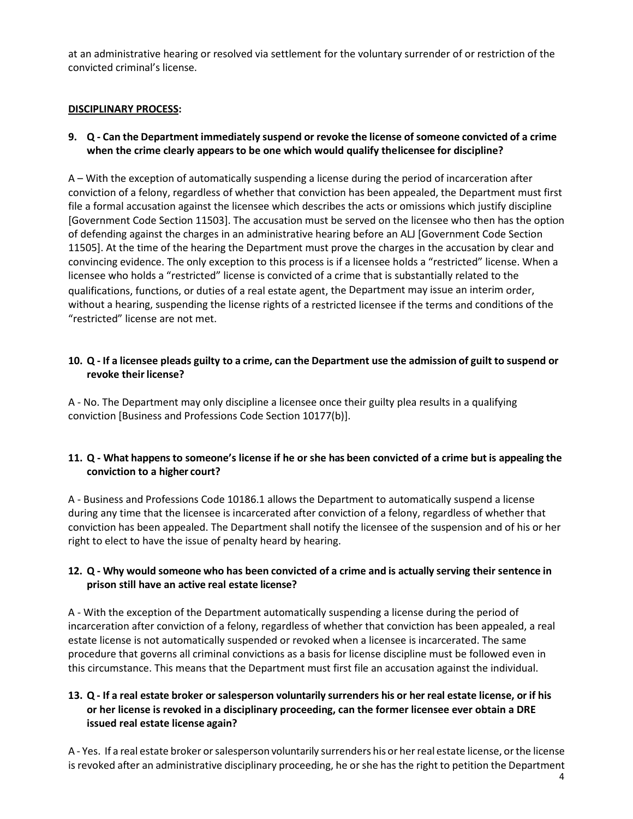at an administrative hearing or resolved via settlement for the voluntary surrender of or restriction of the convicted criminal's license.

#### **DISCIPLINARY PROCESS:**

# 9. Q - Can the Department immediately suspend or revoke the license of someone convicted of a crime **when the crime clearly appears to be one which would qualify thelicensee for discipline?**

A – With the exception of automatically suspending a license during the period of incarceration after conviction of a felony, regardless of whether that conviction has been appealed, the Department must first file a formal accusation against the licensee which describes the acts or omissions which justify discipline [Government Code Section 11503]. The accusation must be served on the licensee who then has the option of defending against the charges in an administrative hearing before an ALJ [Government Code Section 11505]. At the time of the hearing the Department must prove the charges in the accusation by clear and convincing evidence. The only exception to this process is if a licensee holds a "restricted" license. When a licensee who holds a "restricted" license is convicted of a crime that is substantially related to the qualifications, functions, or duties of a real estate agent, the Department may issue an interim order, without a hearing, suspending the license rights of a restricted licensee if the terms and conditions of the "restricted" license are not met.

#### 10. Q - If a licensee pleads guilty to a crime, can the Department use the admission of guilt to suspend or **revoke their license?**

A - No. The Department may only discipline a licensee once their guilty plea results in a qualifying conviction [Business and Professions Code Section 10177(b)].

# **11. Q - What happens to someone's license if he or she has been convicted of a crime but is appealing the conviction to a higher court?**

A - Business and Professions Code 10186.1 allows the Department to automatically suspend a license during any time that the licensee is incarcerated after conviction of a felony, regardless of whether that conviction has been appealed. The Department shall notify the licensee of the suspension and of his or her right to elect to have the issue of penalty heard by hearing.

# **12. Q - Why would someone who has been convicted of a crime and is actually serving their sentence in prison still have an active real estate license?**

A - With the exception of the Department automatically suspending a license during the period of incarceration after conviction of a felony, regardless of whether that conviction has been appealed, a real estate license is not automatically suspended or revoked when a licensee is incarcerated. The same procedure that governs all criminal convictions as a basis for license discipline must be followed even in this circumstance. This means that the Department must first file an accusation against the individual.

# 13. Q - If a real estate broker or salesperson voluntarily surrenders his or her real estate license, or if his **or her license is revoked in a disciplinary proceeding, can the former licensee ever obtain a DRE issued real estate license again?**

A - Yes. If a real estate broker orsalesperson voluntarily surrenders his or herreal estate license, orthe license is revoked after an administrative disciplinary proceeding, he or she has the right to petition the Department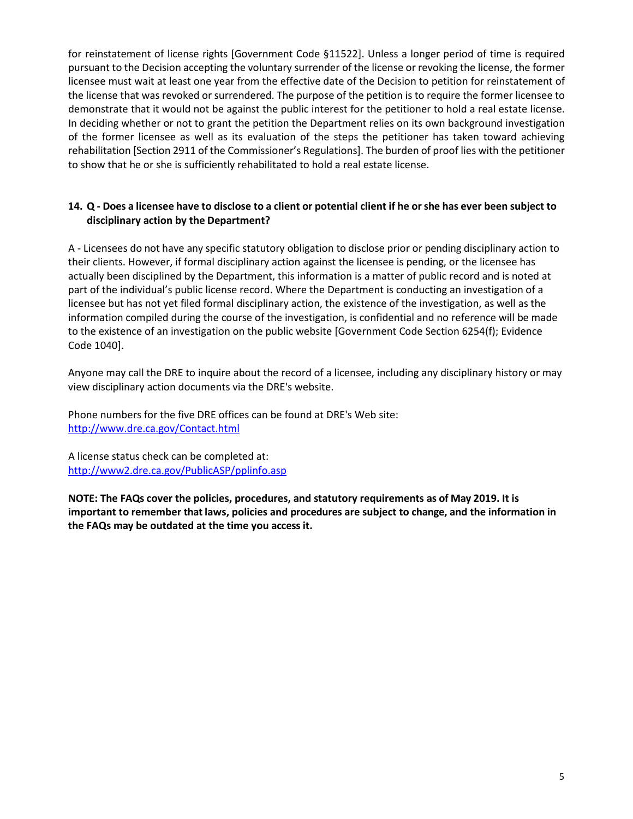for reinstatement of license rights [Government Code §11522]. Unless a longer period of time is required pursuant to the Decision accepting the voluntary surrender of the license or revoking the license, the former licensee must wait at least one year from the effective date of the Decision to petition for reinstatement of the license that was revoked or surrendered. The purpose of the petition is to require the former licensee to demonstrate that it would not be against the public interest for the petitioner to hold a real estate license. In deciding whether or not to grant the petition the Department relies on its own background investigation of the former licensee as well as its evaluation of the steps the petitioner has taken toward achieving rehabilitation [Section 2911 of the Commissioner's Regulations]. The burden of proof lies with the petitioner to show that he or she is sufficiently rehabilitated to hold a real estate license.

#### 14. Q - Does a licensee have to disclose to a client or potential client if he or she has ever been subject to **disciplinary action by the Department?**

A - Licensees do not have any specific statutory obligation to disclose prior or pending disciplinary action to their clients. However, if formal disciplinary action against the licensee is pending, or the licensee has actually been disciplined by the Department, this information is a matter of public record and is noted at part of the individual's public license record. Where the Department is conducting an investigation of a licensee but has not yet filed formal disciplinary action, the existence of the investigation, as well as the information compiled during the course of the investigation, is confidential and no reference will be made to the existence of an investigation on the public website [Government Code Section 6254(f); Evidence Code 1040].

Anyone may call the DRE to inquire about the record of a licensee, including any disciplinary history or may view disciplinary action documents via the DRE's website.

Phone numbers for the five DRE offices can be found at DRE's Web site: <http://www.dre.ca.gov/Contact.html>

A license status check can be completed at: <http://www2.dre.ca.gov/PublicASP/pplinfo.asp>

**NOTE: The FAQs cover the policies, procedures, and statutory requirements as of May 2019. It is important to remember that laws, policies and procedures are subject to change, and the information in the FAQs may be outdated at the time you access it.**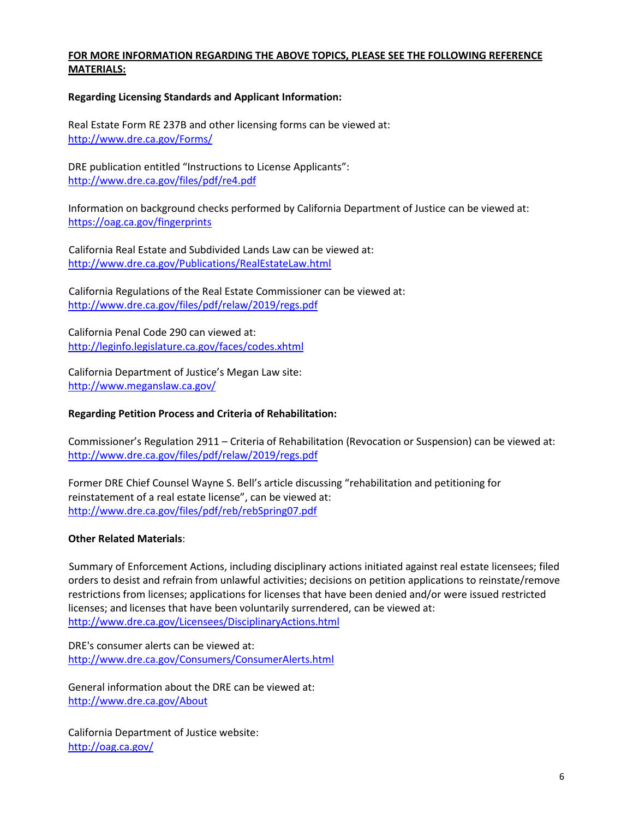#### **FOR MORE INFORMATION REGARDING THE ABOVE TOPICS, PLEASE SEE THE FOLLOWING REFERENCE MATERIALS:**

#### **Regarding Licensing Standards and Applicant Information:**

Real Estate Form RE 237B and other licensing forms can be viewed at: <http://www.dre.ca.gov/Forms/>

DRE publication entitled "Instructions to License Applicants": <http://www.dre.ca.gov/files/pdf/re4.pdf>

Information on background checks performed by California Department of Justice can be viewed at: <https://oag.ca.gov/fingerprints>

California Real Estate and Subdivided Lands Law can be viewed at: [http://www.dre.ca.gov/Publications/RealEstateLaw.html](http://www.dre.ca.gov/files/pdf/forms/re229.pdf)

California Regulations of the Real Estate Commissioner can be [viewed at:](http://www.dre.ca.gov/files/pdf/relaw/relaw.pdf) [http://www.dre.ca.gov/files/pdf/relaw/2019/regs.pdf](http://www.dre.ca.gov/Publications/RealEstateLaw.html)

California Penal Code 290 can viewed at: [http://leginfo.legislature.ca.gov/faces/codes.xhtml](http://www.dre.ca.gov/files/pdf/relaw/regs.pdf)

California Department of Justice's Megan Law site: [http://www.meganslaw.ca.gov/](http://leginfo.legislature.ca.gov/faces/codes.xhtml)

#### **Regarding Petition Process and Criteria of Rehabilitation:**

Commissioner's Regulation 2911 – Criteria of Rehabilitation (Revocation or Suspension) can be viewed at: <http://www.dre.ca.gov/files/pdf/relaw/2019/regs.pdf>

Former DRE Chief Counsel Wayne S. Bell's article discussing "rehabilitation and petitioning for [reinstatement of a real estate license", can be viewed a](http://www.dre.ca.gov/files/pdf/relaw/2019/regs.pdf)t: <http://www.dre.ca.gov/files/pdf/reb/rebSpring07.pdf>

#### **Other Related Materials**:

Summary of Enforcement Actions, including disciplinary actions initiated against real estate licensees; filed orders to desist and refrain from unlawful activities; decisions on petition applications to reinstate/remove restrictions from licenses; applications for licenses that have been denied and/or were issued restricted licenses; and licenses that have been voluntarily surrendered, can be viewed at: <http://www.dre.ca.gov/Licensees/DisciplinaryActions.html>

DRE's consumer alerts can be viewed at: <http://www.dre.ca.gov/Consumers/ConsumerAlerts.html>

General information about the DRE can be viewed at: <http://www.dre.ca.gov/About>

California Department of Justice website: <http://oag.ca.gov/>